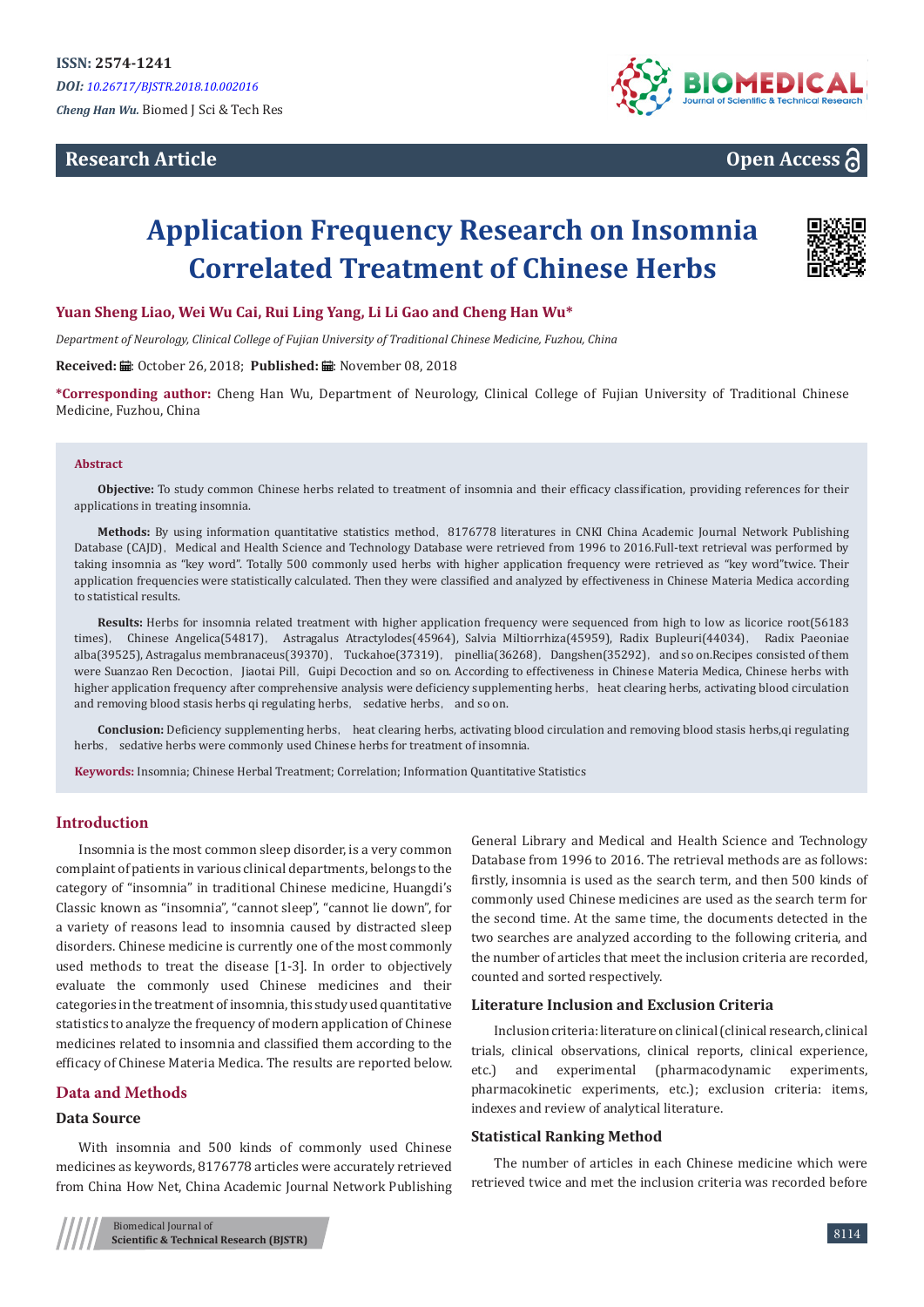## **Research Article**



**Open Access**

# **Application Frequency Research on Insomnia Correlated Treatment of Chinese Herbs**



#### **Yuan Sheng Liao, Wei Wu Cai, Rui Ling Yang, Li Li Gao and Cheng Han Wu\***

*Department of Neurology, Clinical College of Fujian University of Traditional Chinese Medicine, Fuzhou, China*

**Received:** ■: October 26, 2018; Published: ■: November 08, 2018

**\*Corresponding author:** Cheng Han Wu, Department of Neurology, Clinical College of Fujian University of Traditional Chinese Medicine, Fuzhou, China

#### **Abstract**

**Objective:** To study common Chinese herbs related to treatment of insomnia and their efficacy classification, providing references for their applications in treating insomnia.

Methods: By using information quantitative statistics method, 8176778 literatures in CNKI China Academic Journal Network Publishing Database (CAJD), Medical and Health Science and Technology Database were retrieved from 1996 to 2016.Full-text retrieval was performed by taking insomnia as "key word". Totally 500 commonly used herbs with higher application frequency were retrieved as "key word"twice. Their application frequencies were statistically calculated. Then they were classified and analyzed by effectiveness in Chinese Materia Medica according to statistical results.

**Results:** Herbs for insomnia related treatment with higher application frequency were sequenced from high to low as licorice root(56183 times), Chinese Angelica(54817), Astragalus Atractylodes(45964), Salvia Miltiorrhiza(45959), Radix Bupleuri(44034), Radix Paeoniae alba(39525), Astragalus membranaceus(39370), Tuckahoe(37319), pinellia(36268), Dangshen(35292), and so on.Recipes consisted of them were Suanzao Ren Decoction, Jiaotai Pill, Guipi Decoction and so on. According to effectiveness in Chinese Materia Medica, Chinese herbs with higher application frequency after comprehensive analysis were deficiency supplementing herbs, heat clearing herbs, activating blood circulation and removing blood stasis herbs qi regulating herbs, sedative herbs, and so on.

**Conclusion:** Deficiency supplementing herbs, heat clearing herbs, activating blood circulation and removing blood stasis herbs,qi regulating herbs, sedative herbs were commonly used Chinese herbs for treatment of insomnia.

**Keywords:** Insomnia; Chinese Herbal Treatment; Correlation; Information Quantitative Statistics

## **Introduction**

Insomnia is the most common sleep disorder, is a very common complaint of patients in various clinical departments, belongs to the category of "insomnia" in traditional Chinese medicine, Huangdi's Classic known as "insomnia", "cannot sleep", "cannot lie down", for a variety of reasons lead to insomnia caused by distracted sleep disorders. Chinese medicine is currently one of the most commonly used methods to treat the disease [1-3]. In order to objectively evaluate the commonly used Chinese medicines and their categories in the treatment of insomnia, this study used quantitative statistics to analyze the frequency of modern application of Chinese medicines related to insomnia and classified them according to the efficacy of Chinese Materia Medica. The results are reported below.

## **Data and Methods**

### **Data Source**

With insomnia and 500 kinds of commonly used Chinese medicines as keywords, 8176778 articles were accurately retrieved from China How Net, China Academic Journal Network Publishing

General Library and Medical and Health Science and Technology Database from 1996 to 2016. The retrieval methods are as follows: firstly, insomnia is used as the search term, and then 500 kinds of commonly used Chinese medicines are used as the search term for the second time. At the same time, the documents detected in the two searches are analyzed according to the following criteria, and the number of articles that meet the inclusion criteria are recorded, counted and sorted respectively.

#### **Literature Inclusion and Exclusion Criteria**

Inclusion criteria: literature on clinical (clinical research, clinical trials, clinical observations, clinical reports, clinical experience, etc.) and experimental (pharmacodynamic experiments, pharmacokinetic experiments, etc.); exclusion criteria: items, indexes and review of analytical literature.

#### **Statistical Ranking Method**

The number of articles in each Chinese medicine which were retrieved twice and met the inclusion criteria was recorded before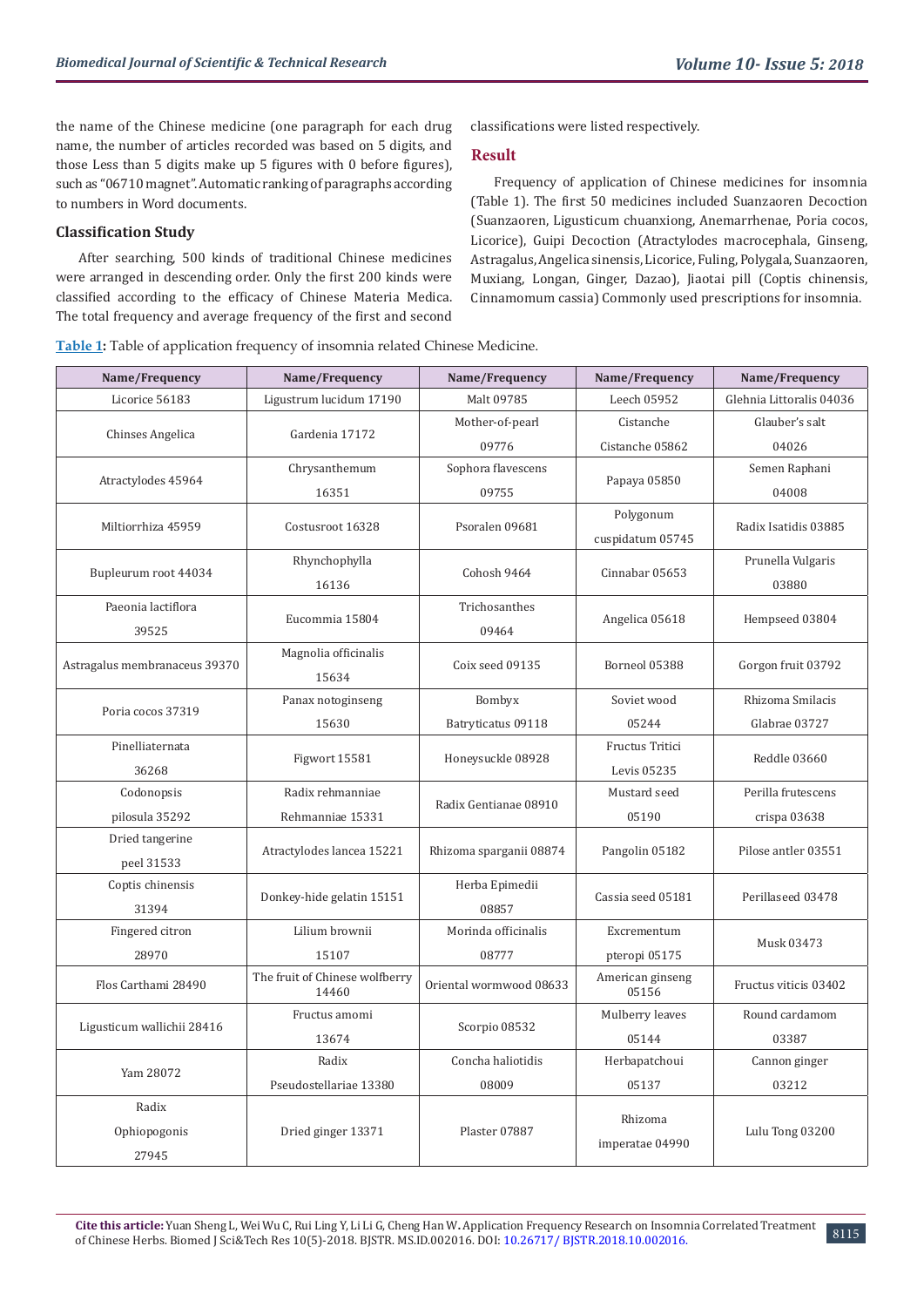the name of the Chinese medicine (one paragraph for each drug name, the number of articles recorded was based on 5 digits, and those Less than 5 digits make up 5 figures with 0 before figures), such as "06710 magnet". Automatic ranking of paragraphs according to numbers in Word documents.

## **Classification Study**

After searching, 500 kinds of traditional Chinese medicines were arranged in descending order. Only the first 200 kinds were classified according to the efficacy of Chinese Materia Medica. The total frequency and average frequency of the first and second

classifications were listed respectively.

#### **Result**

Frequency of application of Chinese medicines for insomnia (Table 1). The first 50 medicines included Suanzaoren Decoction (Suanzaoren, Ligusticum chuanxiong, Anemarrhenae, Poria cocos, Licorice), Guipi Decoction (Atractylodes macrocephala, Ginseng, Astragalus, Angelica sinensis, Licorice, Fuling, Polygala, Suanzaoren, Muxiang, Longan, Ginger, Dazao), Jiaotai pill (Coptis chinensis, Cinnamomum cassia) Commonly used prescriptions for insomnia.

**Table 1:** Table of application frequency of insomnia related Chinese Medicine.

| Name/Frequency                | Name/Frequency                          | Name/Frequency          | Name/Frequency            | Name/Frequency           |  |
|-------------------------------|-----------------------------------------|-------------------------|---------------------------|--------------------------|--|
| Licorice 56183                | Ligustrum lucidum 17190                 | Malt 09785              | Leech 05952               | Glehnia Littoralis 04036 |  |
|                               | Gardenia 17172                          | Mother-of-pearl         | Cistanche                 | Glauber's salt           |  |
| Chinses Angelica              |                                         | 09776                   | Cistanche 05862           | 04026                    |  |
|                               | Chrysanthemum                           | Sophora flavescens      |                           | Semen Raphani            |  |
| Atractylodes 45964            | 16351                                   | 09755                   | Papaya 05850              | 04008                    |  |
| Miltiorrhiza 45959            | Costusroot 16328                        | Psoralen 09681          | Polygonum                 | Radix Isatidis 03885     |  |
|                               |                                         |                         | cuspidatum 05745          |                          |  |
| Bupleurum root 44034          | Rhynchophylla                           | Cohosh 9464             | Cinnabar 05653            | Prunella Vulgaris        |  |
|                               | 16136                                   |                         |                           | 03880                    |  |
| Paeonia lactiflora            | Eucommia 15804                          | Trichosanthes           | Angelica 05618            | Hempseed 03804           |  |
| 39525                         |                                         | 09464                   |                           |                          |  |
| Astragalus membranaceus 39370 | Magnolia officinalis                    | Coix seed 09135         | Borneol 05388             | Gorgon fruit 03792       |  |
|                               | 15634                                   |                         |                           |                          |  |
| Poria cocos 37319             | Panax notoginseng                       | Bombyx                  | Soviet wood               | Rhizoma Smilacis         |  |
|                               | 15630                                   | Batryticatus 09118      | 05244                     | Glabrae 03727            |  |
| Pinelliaternata               | Figwort 15581                           | Honeysuckle 08928       | Fructus Tritici           | Reddle 03660             |  |
| 36268                         |                                         |                         | Levis 05235               |                          |  |
| Codonopsis                    | Radix rehmanniae                        | Radix Gentianae 08910   | Mustard seed              | Perilla frutescens       |  |
| pilosula 35292                | Rehmanniae 15331                        |                         | 05190                     | crispa 03638             |  |
| Dried tangerine               | Atractylodes lancea 15221               | Rhizoma sparganii 08874 | Pangolin 05182            | Pilose antler 03551      |  |
| peel 31533                    |                                         |                         |                           |                          |  |
| Coptis chinensis              | Donkey-hide gelatin 15151               | Herba Epimedii          | Cassia seed 05181         | Perillaseed 03478        |  |
| 31394                         |                                         | 08857                   |                           |                          |  |
| Fingered citron               | Lilium brownii                          | Morinda officinalis     | Excrementum               | Musk 03473               |  |
| 28970                         | 15107                                   | 08777                   | pteropi 05175             |                          |  |
| Flos Carthami 28490           | The fruit of Chinese wolfberry<br>14460 | Oriental wormwood 08633 | American ginseng<br>05156 | Fructus viticis 03402    |  |
|                               | Fructus amomi                           | Scorpio 08532           | Mulberry leaves           | Round cardamom           |  |
| Ligusticum wallichii 28416    | 13674                                   |                         | 05144                     | 03387                    |  |
| Yam 28072                     | Radix                                   | Concha haliotidis       | Herbapatchoui             | Cannon ginger            |  |
|                               | Pseudostellariae 13380                  | 08009                   | 05137                     | 03212                    |  |
| Radix                         |                                         |                         |                           |                          |  |
| Ophiopogonis                  | Dried ginger 13371                      | Plaster 07887           | Rhizoma                   | Lulu Tong 03200          |  |
| 27945                         |                                         |                         | imperatae 04990           |                          |  |

8115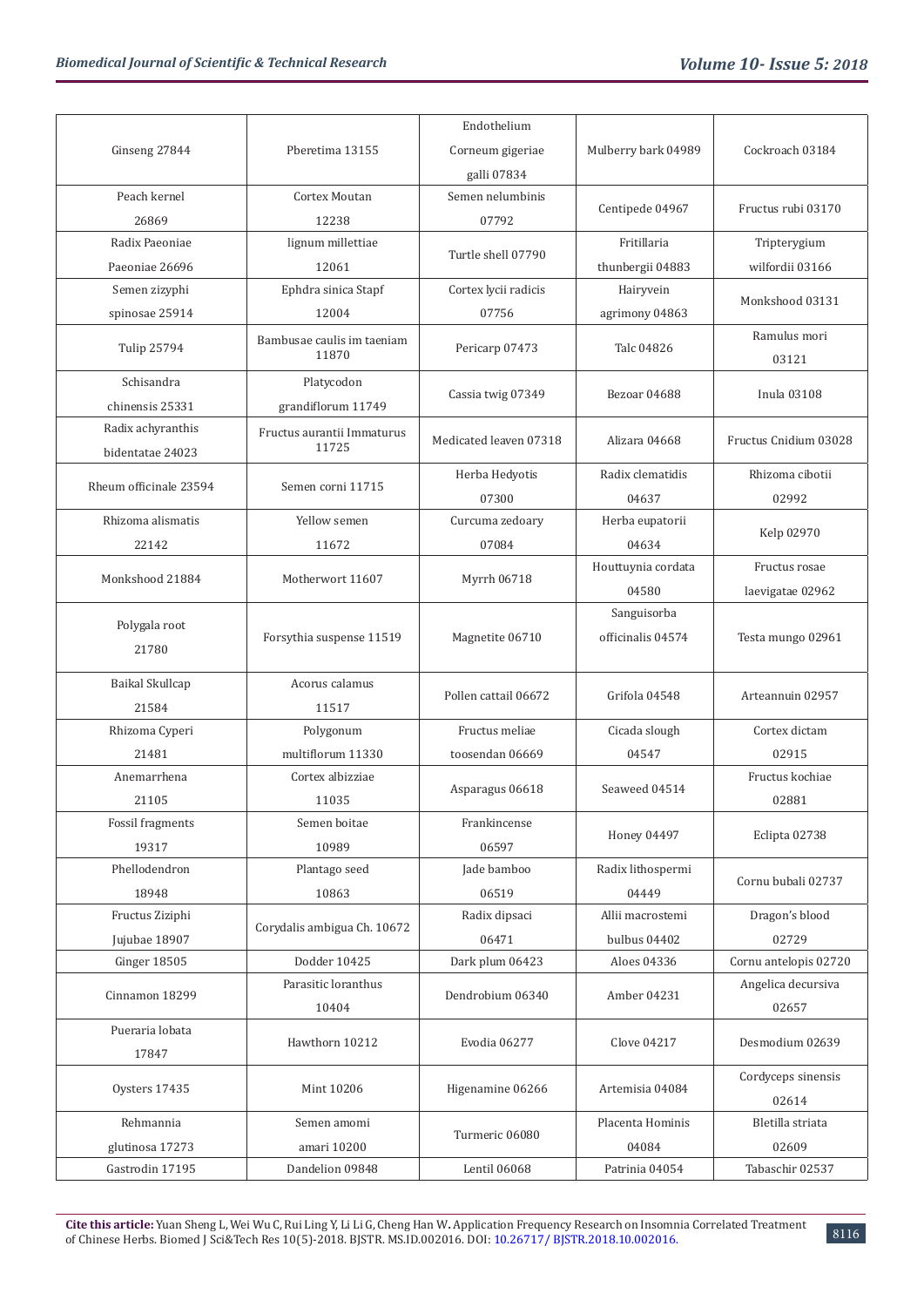|                                       |                                     | Endothelium            |                     |                       |  |  |
|---------------------------------------|-------------------------------------|------------------------|---------------------|-----------------------|--|--|
| Ginseng 27844                         | Pberetima 13155                     | Corneum gigeriae       | Mulberry bark 04989 | Cockroach 03184       |  |  |
|                                       |                                     | galli 07834            |                     |                       |  |  |
| Peach kernel                          | Cortex Moutan                       | Semen nelumbinis       |                     |                       |  |  |
| 26869                                 | 12238                               | 07792                  | Centipede 04967     | Fructus rubi 03170    |  |  |
| Radix Paeoniae                        | lignum millettiae                   |                        | Fritillaria         | Tripterygium          |  |  |
| Paeoniae 26696                        | 12061                               | Turtle shell 07790     | thunbergii 04883    | wilfordii 03166       |  |  |
| Semen zizyphi                         | Ephdra sinica Stapf                 | Cortex lycii radicis   | Hairyvein           |                       |  |  |
| spinosae 25914                        | 12004                               | 07756                  | agrimony 04863      | Monkshood 03131       |  |  |
| Tulip 25794                           | Bambusae caulis im taeniam<br>11870 | Pericarp 07473         | Talc 04826          | Ramulus mori<br>03121 |  |  |
| Schisandra                            | Platycodon                          |                        |                     |                       |  |  |
| chinensis 25331                       | grandiflorum 11749                  | Cassia twig 07349      | Bezoar 04688        | Inula 03108           |  |  |
| Radix achyranthis<br>bidentatae 24023 | Fructus aurantii Immaturus<br>11725 | Medicated leaven 07318 | Alizara 04668       | Fructus Cnidium 03028 |  |  |
|                                       |                                     | Herba Hedyotis         | Radix clematidis    | Rhizoma cibotii       |  |  |
| Rheum officinale 23594                | Semen corni 11715                   | 07300                  | 04637               | 02992                 |  |  |
| Rhizoma alismatis                     | Yellow semen                        | Curcuma zedoary        | Herba eupatorii     |                       |  |  |
| 22142                                 | 11672                               | 07084                  | 04634               | Kelp 02970            |  |  |
|                                       |                                     |                        | Houttuynia cordata  | Fructus rosae         |  |  |
| Monkshood 21884                       | Motherwort 11607                    | Myrrh 06718            | 04580               | laevigatae 02962      |  |  |
| Polygala root                         |                                     |                        | Sanguisorba         |                       |  |  |
| 21780                                 | Forsythia suspense 11519            | Magnetite 06710        | officinalis 04574   | Testa mungo 02961     |  |  |
|                                       |                                     |                        |                     |                       |  |  |
| Baikal Skullcap                       | Acorus calamus                      | Pollen cattail 06672   | Grifola 04548       | Arteannuin 02957      |  |  |
| 21584                                 | 11517                               |                        |                     |                       |  |  |
| Rhizoma Cyperi                        | Polygonum                           | Fructus meliae         | Cicada slough       | Cortex dictam         |  |  |
| 21481                                 | multiflorum 11330                   | toosendan 06669        | 04547               | 02915                 |  |  |
| Anemarrhena                           | Cortex albizziae                    | Asparagus 06618        | Seaweed 04514       | Fructus kochiae       |  |  |
| 21105                                 | 11035                               |                        |                     | 02881                 |  |  |
| Fossil fragments                      | Semen boitae                        | Frankincense           | Honey 04497         | Eclipta 02738         |  |  |
| 19317                                 | 10989                               | 06597                  |                     |                       |  |  |
| Phellodendron                         | Plantago seed                       | Jade bamboo            | Radix lithospermi   | Cornu bubali 02737    |  |  |
| 18948                                 | 10863                               | 06519                  | 04449               |                       |  |  |
| Fructus Ziziphi                       | Corydalis ambigua Ch. 10672         | Radix dipsaci          | Allii macrostemi    | Dragon's blood        |  |  |
| Jujubae 18907                         |                                     | 06471                  | bulbus 04402        | 02729                 |  |  |
| Ginger 18505                          | Dodder 10425                        | Dark plum 06423        | Aloes 04336         | Cornu antelopis 02720 |  |  |
| Cinnamon 18299                        | Parasitic loranthus                 | Dendrobium 06340       | Amber 04231         | Angelica decursiva    |  |  |
| Pueraria lobata                       | 10404                               |                        |                     | 02657                 |  |  |
| 17847                                 | Hawthorn 10212                      | Evodia 06277           | Clove 04217         | Desmodium 02639       |  |  |
|                                       |                                     |                        |                     | Cordyceps sinensis    |  |  |
| Oysters 17435                         | Mint 10206                          | Higenamine 06266       | Artemisia 04084     | 02614                 |  |  |
| Rehmannia                             | Semen amomi                         |                        | Placenta Hominis    | Bletilla striata      |  |  |
| glutinosa 17273                       | amari 10200                         | Turmeric 06080         | 04084               | 02609                 |  |  |
| Gastrodin 17195                       | Dandelion 09848                     | Lentil 06068           | Patrinia 04054      | Tabaschir 02537       |  |  |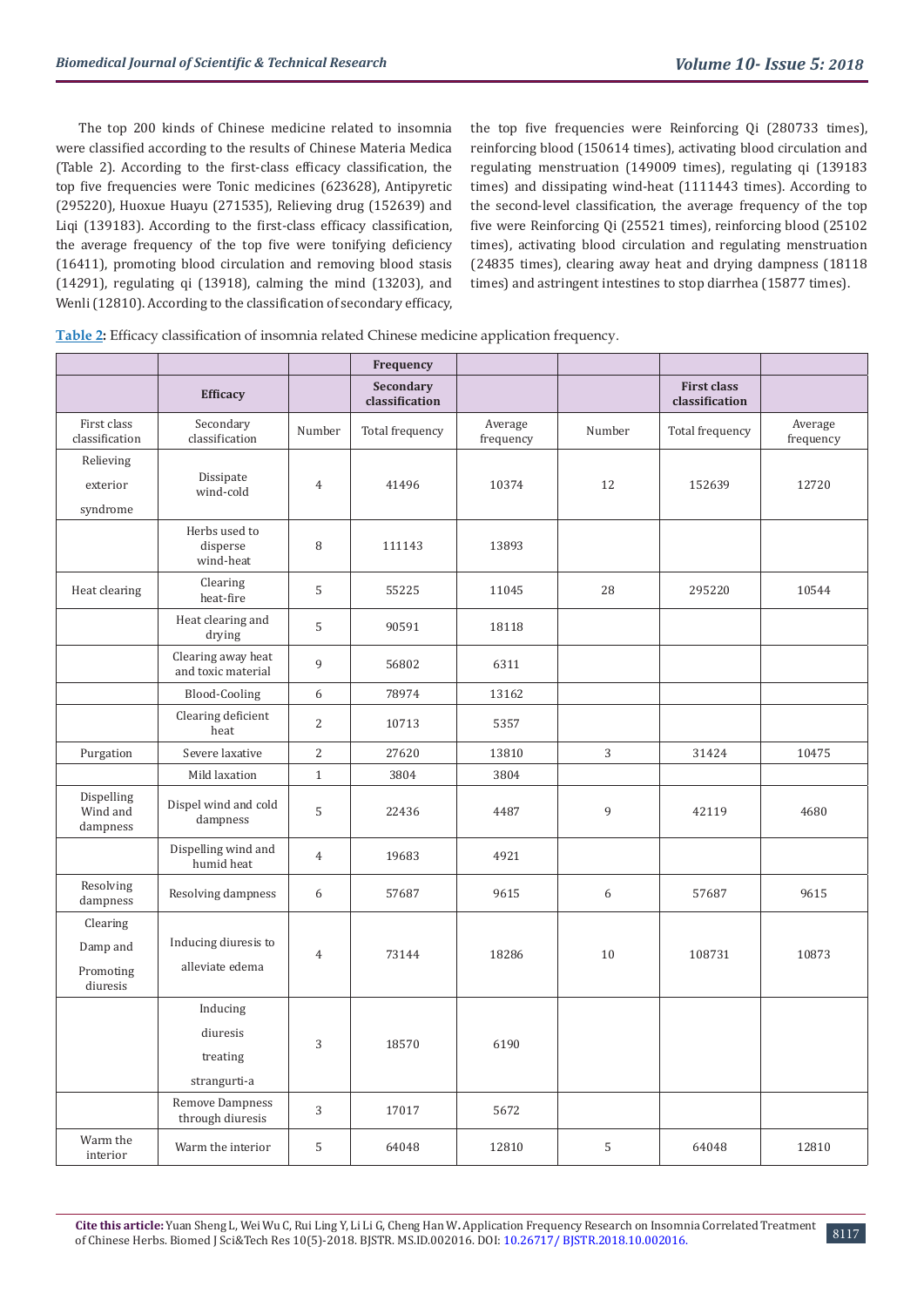The top 200 kinds of Chinese medicine related to insomnia were classified according to the results of Chinese Materia Medica (Table 2). According to the first-class efficacy classification, the top five frequencies were Tonic medicines (623628), Antipyretic (295220), Huoxue Huayu (271535), Relieving drug (152639) and Liqi (139183). According to the first-class efficacy classification, the average frequency of the top five were tonifying deficiency (16411), promoting blood circulation and removing blood stasis (14291), regulating qi (13918), calming the mind (13203), and Wenli (12810). According to the classification of secondary efficacy, the top five frequencies were Reinforcing Qi (280733 times), reinforcing blood (150614 times), activating blood circulation and regulating menstruation (149009 times), regulating qi (139183 times) and dissipating wind-heat (1111443 times). According to the second-level classification, the average frequency of the top five were Reinforcing Qi (25521 times), reinforcing blood (25102 times), activating blood circulation and regulating menstruation (24835 times), clearing away heat and drying dampness (18118 times) and astringent intestines to stop diarrhea (15877 times).

| Table 2: Efficacy classification of insomnia related Chinese medicine application frequency. |  |  |  |  |  |
|----------------------------------------------------------------------------------------------|--|--|--|--|--|
|                                                                                              |  |  |  |  |  |

|                                               |                                                  |                | Frequency                   |                      |        |                                      |                      |
|-----------------------------------------------|--------------------------------------------------|----------------|-----------------------------|----------------------|--------|--------------------------------------|----------------------|
|                                               | <b>Efficacy</b>                                  |                | Secondary<br>classification |                      |        | <b>First class</b><br>classification |                      |
| First class<br>classification                 | Secondary<br>classification                      | Number         | Total frequency             | Average<br>frequency | Number | Total frequency                      | Average<br>frequency |
| Relieving<br>exterior<br>syndrome             | Dissipate<br>wind-cold                           | $\overline{4}$ | 41496                       | 10374                | 12     | 152639                               | 12720                |
|                                               | Herbs used to<br>disperse<br>wind-heat           | 8              | 111143                      | 13893                |        |                                      |                      |
| Heat clearing                                 | Clearing<br>heat-fire                            | 5              | 55225                       | 11045                | 28     | 295220                               | 10544                |
|                                               | Heat clearing and<br>drying                      | 5              | 90591                       | 18118                |        |                                      |                      |
|                                               | Clearing away heat<br>and toxic material         | 9              | 56802                       | 6311                 |        |                                      |                      |
|                                               | <b>Blood-Cooling</b>                             | 6              | 78974                       | 13162                |        |                                      |                      |
|                                               | Clearing deficient<br>heat                       | $\overline{2}$ | 10713                       | 5357                 |        |                                      |                      |
| Purgation                                     | Severe laxative                                  | 2              | 27620                       | 13810                | 3      | 31424                                | 10475                |
|                                               | Mild laxation                                    | $\mathbf{1}$   | 3804                        | 3804                 |        |                                      |                      |
| Dispelling<br>Wind and<br>dampness            | Dispel wind and cold<br>dampness                 | $\mathsf S$    | 22436                       | 4487                 | 9      | 42119                                | 4680                 |
|                                               | Dispelling wind and<br>humid heat                | 4              | 19683                       | 4921                 |        |                                      |                      |
| Resolving<br>dampness                         | Resolving dampness                               | 6              | 57687                       | 9615                 | 6      | 57687                                | 9615                 |
| Clearing<br>Damp and<br>Promoting<br>diuresis | Inducing diuresis to<br>alleviate edema          | 4              | 73144                       | 18286                | 10     | 108731                               | 10873                |
|                                               | Inducing<br>diuresis<br>treating<br>strangurti-a | 3              | 18570                       | 6190                 |        |                                      |                      |
|                                               | Remove Dampness<br>through diuresis              | $\sqrt{3}$     | 17017                       | 5672                 |        |                                      |                      |
| Warm the<br>interior                          | Warm the interior                                | 5              | 64048                       | 12810                | 5      | 64048                                | 12810                |

8117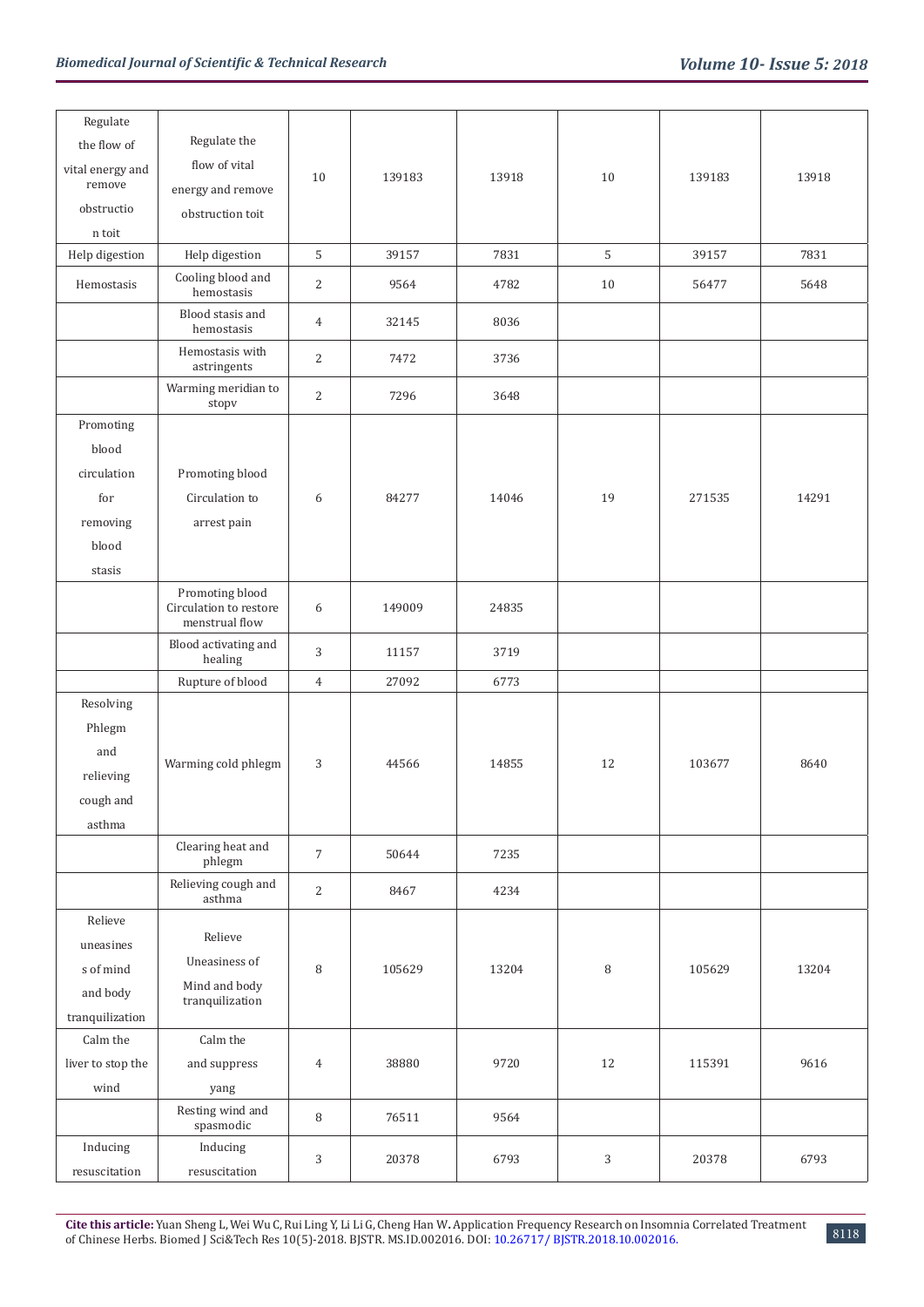| Regulate          |                                                             |                |        |       |    |        |       |
|-------------------|-------------------------------------------------------------|----------------|--------|-------|----|--------|-------|
| the flow of       | Regulate the                                                |                |        |       |    |        |       |
| vital energy and  | flow of vital                                               | 10             | 139183 | 13918 | 10 | 139183 | 13918 |
| remove            | energy and remove                                           |                |        |       |    |        |       |
| obstructio        | obstruction toit                                            |                |        |       |    |        |       |
| n toit            |                                                             |                |        |       |    |        |       |
| Help digestion    | Help digestion                                              | 5              | 39157  | 7831  | 5  | 39157  | 7831  |
| Hemostasis        | Cooling blood and<br>hemostasis                             | 2              | 9564   | 4782  | 10 | 56477  | 5648  |
|                   | Blood stasis and<br>hemostasis                              | $\overline{4}$ | 32145  | 8036  |    |        |       |
|                   | Hemostasis with<br>astringents                              | $\overline{c}$ | 7472   | 3736  |    |        |       |
|                   | Warming meridian to<br>stopv                                | $\sqrt{2}$     | 7296   | 3648  |    |        |       |
| Promoting         |                                                             |                |        |       |    |        |       |
| blood             |                                                             |                |        |       |    |        |       |
| circulation       | Promoting blood                                             |                |        |       |    |        |       |
| for               | Circulation to                                              | 6              | 84277  | 14046 | 19 | 271535 | 14291 |
| removing          | arrest pain                                                 |                |        |       |    |        |       |
| blood             |                                                             |                |        |       |    |        |       |
| stasis            |                                                             |                |        |       |    |        |       |
|                   | Promoting blood<br>Circulation to restore<br>menstrual flow | 6              | 149009 | 24835 |    |        |       |
|                   | Blood activating and<br>healing                             | 3              | 11157  | 3719  |    |        |       |
|                   | Rupture of blood                                            | $\overline{4}$ | 27092  | 6773  |    |        |       |
| Resolving         |                                                             |                |        |       |    |        |       |
| Phlegm            |                                                             |                |        |       |    |        |       |
| and               | Warming cold phlegm                                         | $\sqrt{3}$     | 44566  | 14855 | 12 | 103677 | 8640  |
| relieving         |                                                             |                |        |       |    |        |       |
| cough and         |                                                             |                |        |       |    |        |       |
| asthma            |                                                             |                |        |       |    |        |       |
|                   | Clearing heat and<br>phlegm                                 | $\overline{7}$ | 50644  | 7235  |    |        |       |
|                   | Relieving cough and<br>asthma                               | $\sqrt{2}$     | 8467   | 4234  |    |        |       |
| Relieve           |                                                             |                |        |       |    |        |       |
| uneasines         | Relieve                                                     |                |        |       |    |        |       |
| s of mind         | Uneasiness of                                               | 8              | 105629 | 13204 | 8  | 105629 | 13204 |
| and body          | Mind and body<br>tranquilization                            |                |        |       |    |        |       |
| tranquilization   |                                                             |                |        |       |    |        |       |
| Calm the          | Calm the                                                    |                |        |       |    |        |       |
| liver to stop the | and suppress                                                | 4              | 38880  | 9720  | 12 | 115391 | 9616  |
| wind              | yang                                                        |                |        |       |    |        |       |
|                   | Resting wind and<br>spasmodic                               | $\, 8$         | 76511  | 9564  |    |        |       |
| Inducing          | Inducing                                                    | 3              | 20378  | 6793  | 3  | 20378  | 6793  |
| resuscitation     | resuscitation                                               |                |        |       |    |        |       |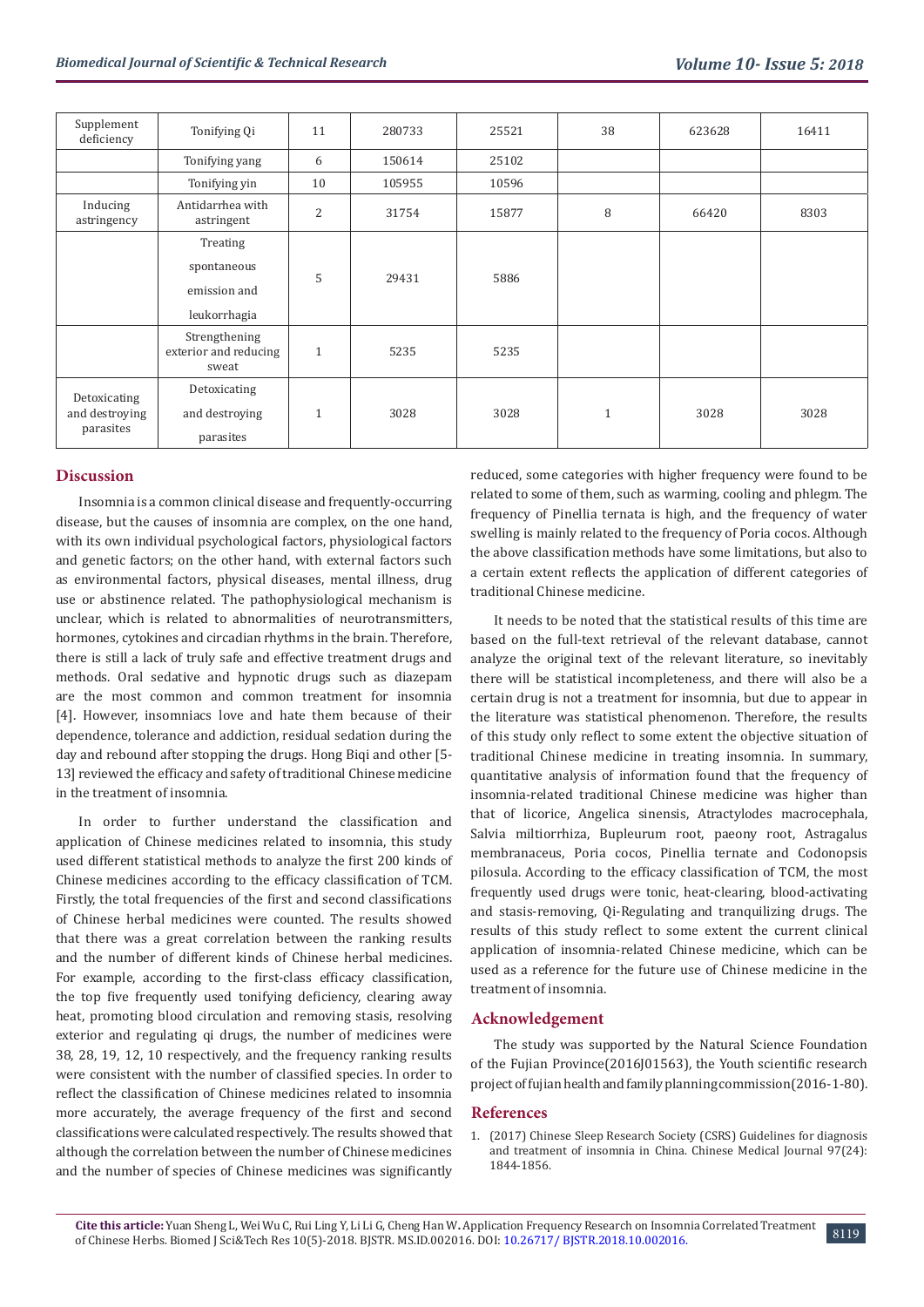| Supplement<br>deficiency | Tonifying Qi                                    | 11             | 280733 | 25521 | 38           | 623628 | 16411 |  |      |  |  |  |
|--------------------------|-------------------------------------------------|----------------|--------|-------|--------------|--------|-------|--|------|--|--|--|
|                          | Tonifying yang                                  | 6              | 150614 | 25102 |              |        |       |  |      |  |  |  |
|                          | Tonifying yin                                   | 10             | 105955 | 10596 |              |        |       |  |      |  |  |  |
| Inducing<br>astringency  | Antidarrhea with<br>astringent                  | $\overline{2}$ | 31754  | 15877 | 8            | 66420  | 8303  |  |      |  |  |  |
|                          | Treating                                        |                |        |       |              |        |       |  |      |  |  |  |
|                          | spontaneous                                     |                |        |       |              |        |       |  |      |  |  |  |
|                          | emission and                                    | 5              |        |       |              | 29431  |       |  | 5886 |  |  |  |
|                          | leukorrhagia                                    |                |        |       |              |        |       |  |      |  |  |  |
|                          | Strengthening<br>exterior and reducing<br>sweat | $\mathbf{1}$   | 5235   | 5235  |              |        |       |  |      |  |  |  |
| Detoxicating             | Detoxicating                                    |                |        |       |              |        |       |  |      |  |  |  |
| and destroying           | and destroying                                  | $\mathbf{1}$   | 3028   | 3028  | $\mathbf{1}$ | 3028   | 3028  |  |      |  |  |  |
| parasites                | parasites                                       |                |        |       |              |        |       |  |      |  |  |  |

#### **Discussion**

Insomnia is a common clinical disease and frequently-occurring disease, but the causes of insomnia are complex, on the one hand, with its own individual psychological factors, physiological factors and genetic factors; on the other hand, with external factors such as environmental factors, physical diseases, mental illness, drug use or abstinence related. The pathophysiological mechanism is unclear, which is related to abnormalities of neurotransmitters, hormones, cytokines and circadian rhythms in the brain. Therefore, there is still a lack of truly safe and effective treatment drugs and methods. Oral sedative and hypnotic drugs such as diazepam are the most common and common treatment for insomnia [4]. However, insomniacs love and hate them because of their dependence, tolerance and addiction, residual sedation during the day and rebound after stopping the drugs. Hong Biqi and other [5- 13] reviewed the efficacy and safety of traditional Chinese medicine in the treatment of insomnia.

In order to further understand the classification and application of Chinese medicines related to insomnia, this study used different statistical methods to analyze the first 200 kinds of Chinese medicines according to the efficacy classification of TCM. Firstly, the total frequencies of the first and second classifications of Chinese herbal medicines were counted. The results showed that there was a great correlation between the ranking results and the number of different kinds of Chinese herbal medicines. For example, according to the first-class efficacy classification, the top five frequently used tonifying deficiency, clearing away heat, promoting blood circulation and removing stasis, resolving exterior and regulating qi drugs, the number of medicines were 38, 28, 19, 12, 10 respectively, and the frequency ranking results were consistent with the number of classified species. In order to reflect the classification of Chinese medicines related to insomnia more accurately, the average frequency of the first and second classifications were calculated respectively. The results showed that although the correlation between the number of Chinese medicines and the number of species of Chinese medicines was significantly

reduced, some categories with higher frequency were found to be related to some of them, such as warming, cooling and phlegm. The frequency of Pinellia ternata is high, and the frequency of water swelling is mainly related to the frequency of Poria cocos. Although the above classification methods have some limitations, but also to a certain extent reflects the application of different categories of traditional Chinese medicine.

It needs to be noted that the statistical results of this time are based on the full-text retrieval of the relevant database, cannot analyze the original text of the relevant literature, so inevitably there will be statistical incompleteness, and there will also be a certain drug is not a treatment for insomnia, but due to appear in the literature was statistical phenomenon. Therefore, the results of this study only reflect to some extent the objective situation of traditional Chinese medicine in treating insomnia. In summary, quantitative analysis of information found that the frequency of insomnia-related traditional Chinese medicine was higher than that of licorice, Angelica sinensis, Atractylodes macrocephala, Salvia miltiorrhiza, Bupleurum root, paeony root, Astragalus membranaceus, Poria cocos, Pinellia ternate and Codonopsis pilosula. According to the efficacy classification of TCM, the most frequently used drugs were tonic, heat-clearing, blood-activating and stasis-removing, Qi-Regulating and tranquilizing drugs. The results of this study reflect to some extent the current clinical application of insomnia-related Chinese medicine, which can be used as a reference for the future use of Chinese medicine in the treatment of insomnia.

#### **Acknowledgement**

The study was supported by the Natural Science Foundation of the Fujian Province(2016J01563), the Youth scientific research project of fujian health and family planning commission(2016-1-80).

#### **References**

1. (2017) Chinese Sleep Research Society (CSRS) Guidelines for diagnosis and treatment of insomnia in China. Chinese Medical Journal 97(24): 1844-1856.